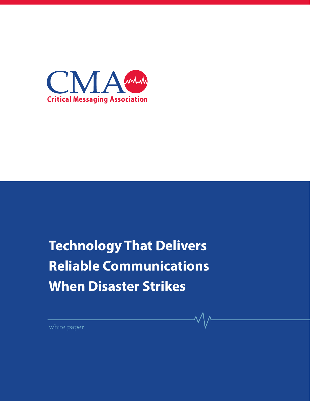

# **Technology That Delivers Reliable Communications When Disaster Strikes**

white paper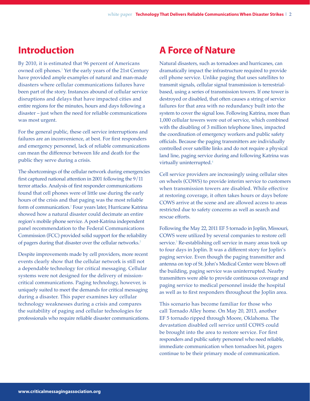#### **Introduction**

By 2010, it is estimated that 96 percent of Americans owned cell phones.1 Yet the early years of the 21st Century have provided ample examples of natural and man-made disasters where cellular communications failures have been part of the story. Instances abound of cellular service disruptions and delays that have impacted cities and entire regions for the minutes, hours and days following a disaster – just when the need for reliable communications was most urgent.

For the general public, these cell service interruptions and failures are an inconvenience, at best. For first responders and emergency personnel, lack of reliable communications can mean the difference between life and death for the public they serve during a crisis.

The shortcomings of the cellular network during emergencies first captured national attention in 2001 following the 9/11 terror attacks. Analysis of first responder communications found that cell phones were of little use during the early hours of the crisis and that paging was the most reliable form of communication.2 Four years later, Hurricane Katrina showed how a natural disaster could decimate an entire region's mobile phone service. A post-Katrina independent panel recommendation to the Federal Communications Commission (FCC) provided solid support for the reliability of pagers during that disaster over the cellular networks.<sup>3</sup>

Despite improvements made by cell providers, more recent events clearly show that the cellular network is still not a dependable technology for critical messaging. Cellular systems were not designed for the delivery of missioncritical communications. Paging technology, however, is uniquely suited to meet the demands for critical messaging during a disaster. This paper examines key cellular technology weaknesses during a crisis and compares the suitability of paging and cellular technologies for professionals who require reliable disaster communications.

#### **A Force of Nature**

Natural disasters, such as tornadoes and hurricanes, can dramatically impact the infrastructure required to provide cell phone service. Unlike paging that uses satellites to transmit signals, cellular signal transmission is terrestrialbased, using a series of transmission towers. If one tower is destroyed or disabled, that often causes a string of service failures for that area with no redundancy built into the system to cover the signal loss. Following Katrina, more than 1,000 cellular towers were out of service, which combined with the disabling of 3 million telephone lines, impacted the coordination of emergency workers and public safety officials. Because the paging transmitters are individually controlled over satellite links and do not require a physical land line, paging service during and following Katrina was virtually uninterrupted.<sup>4</sup>

Cell service providers are increasingly using cellular sites on wheels (COWS) to provide interim service to customers when transmission towers are disabled. While effective at restoring coverage, it often takes hours or days before COWS arrive at the scene and are allowed access to areas restricted due to safety concerns as well as search and rescue efforts.

Following the May 22, 2011 EF 5 tornado in Joplin, Missouri, COWS were utilized by several companies to restore cell service.5 Re-establishing cell service in many areas took up to four days in Joplin. It was a different story for Joplin's paging service. Even though the paging transmitter and antenna on top of St. John's Medical Center were blown off the building, paging service was uninterrupted. Nearby transmitters were able to provide continuous coverage and paging service to medical personnel inside the hospital as well as to first responders throughout the Joplin area.

This scenario has become familiar for those who call Tornado Alley home. On May 20, 2013, another EF 5 tornado ripped through Moore, Oklahoma. The devastation disabled cell service until COWS could be brought into the area to restore service. For first responders and public safety personnel who need reliable, immediate communication when tornadoes hit, pagers continue to be their primary mode of communication.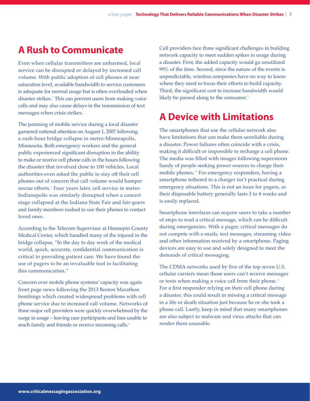### **A Rush to Communicate**

Even when cellular transmitters are unharmed, local service can be disrupted or delayed by increased call volume. With public adoption of cell phones at near saturation level, available bandwidth to service customers is adequate for normal usage but is often overloaded when disaster strikes.6 This can prevent users from making voice calls and may also cause delays in the transmission of text messages when crisis strikes.

The jamming of mobile service during a local disaster garnered national attention on August 1, 2007 following a rush-hour bridge collapse in metro-Minneapolis, Minnesota. Both emergency workers and the general public experienced significant disruption in the ability to make or receive cell phone calls in the hours following the disaster that involved close to 100 vehicles. Local authorities even asked the public to stay off their cell phones out of concern that call volume would hamper rescue efforts.<sup>7</sup> Four years later, cell service in metro-Indianapolis was similarly disrupted when a concert stage collapsed at the Indiana State Fair and fair-goers and family members rushed to use their phones to contact loved ones.

According to the Telecom Supervisor at Hennepin County Medical Center, which handled many of the injured in the bridge collapse, "In the day to day work of the medical world, quick, accurate, confidential communication is critical to providing patient care. We have found the use of pagers to be an invaluable tool in facilitating this communication."

Concern over mobile phone systems' capacity was again front page news following the 2013 Boston Marathon bombings which created widespread problems with cell phone service due to increased call volume. Networks of three major cell providers were quickly overwhelmed by the surge in usage – leaving race participants and fans unable to reach family and friends or receive incoming calls.<sup>8</sup>

Cell providers face three significant challenges in building network capacity to meet sudden spikes in usage during a disaster. First, the added capacity would go unutilized 99% of the time. Second, since the nature of the events is unpredictable, wireless companies have no way to know where they need to focus their efforts to build capacity. Third, the significant cost to increase bandwidth would likely be passed along to the consumer.<sup>9</sup>

### **A Device with Limitations**

The smartphones that use the cellular network also have limitations that can make them unreliable during a disaster. Power failures often coincide with a crisis, making it difficult or impossible to recharge a cell phone. The media was filled with images following superstorm Sandy of people seeking power sources to charge their mobile phones.10 For emergency responders, having a smartphone tethered to a charger isn't practical during emergency situations. This is not an issue for pagers, as their disposable battery generally lasts 3 to 4 weeks and is easily replaced.

Smartphone interfaces can require users to take a number of steps to read a critical message, which can be difficult during emergencies. With a pager, critical messages do not compete with e-mails, text messages, streaming video and other information received by a smartphone. Paging devices are easy to use and solely designed to meet the demands of critical messaging.

The CDMA networks used by five of the top seven U.S. cellular carriers mean those users can't receive messages or texts when making a voice call from their phone.<sup>11</sup> For a first responder relying on their cell phone during a disaster, this could result in missing a critical message in a life or death situation just because he or she took a phone call. Lastly, keep in mind that many smartphones are also subject to malware and virus attacks that can render them unusable.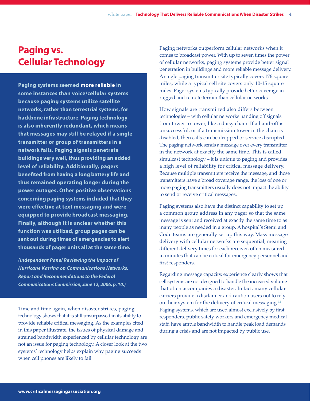## **Paging vs. Cellular Technology**

**Paging systems seemed more reliable in some instances than voice/cellular systems because paging systems utilize satellite networks, rather than terrestrial systems, for backbone infrastructure. Paging technology is also inherently redundant, which means that messages may still be relayed if a single transmitter or group of transmitters in a network fails. Paging signals penetrate buildings very well, thus providing an added level of reliability. Additionally, pagers benefited from having a long battery life and thus remained operating longer during the power outages. Other positive observations concerning paging systems included that they were effective at text messaging and were equipped to provide broadcast messaging. Finally, although it is unclear whether this function was utilized, group pages can be sent out during times of emergencies to alert thousands of pager units all at the same time.**

*(Independent Panel Reviewing the Impact of Hurricane Katrina on Communications Networks. Report and Recommendations to the Federal Communications Commission, June 12, 2006, p. 10.)*

Time and time again, when disaster strikes, paging technology shows that it is still unsurpassed in its ability to provide reliable critical messaging. As the examples cited in this paper illustrate, the issues of physical damage and strained bandwidth experienced by cellular technology are not an issue for paging technology. A closer look at the two systems' technology helps explain why paging succeeds when cell phones are likely to fail.

Paging networks outperform cellular networks when it comes to broadcast power. With up to seven times the power of cellular networks, paging systems provide better signal penetration in buildings and more reliable message delivery. A single paging transmitter site typically covers 176 square miles, while a typical cell site covers only 10-15 square miles. Pager systems typically provide better coverage in rugged and remote terrain than cellular networks.

How signals are transmitted also differs between technologies – with cellular networks handing off signals from tower to tower, like a daisy chain. If a hand-off is unsuccessful, or if a transmission tower in the chain is disabled, then calls can be dropped or service disrupted. The paging network sends a message over every transmitter in the network at exactly the same time. This is called simulcast technology – it is unique to paging and provides a high level of reliability for critical message delivery. Because multiple transmitters receive the message, and those transmitters have a broad coverage range, the loss of one or more paging transmitters usually does not impact the ability to send or receive critical messages.

Paging systems also have the distinct capability to set up a common group address in any pager so that the same message is sent and received at exactly the same time to as many people as needed in a group. A hospital's Stemi and Code teams are generally set up this way. Mass message delivery with cellular networks are sequential, meaning different delivery times for each receiver, often measured in minutes that can be critical for emergency personnel and first responders.

Regarding message capacity, experience clearly shows that cell systems are not designed to handle the increased volume that often accompanies a disaster. In fact, many cellular carriers provide a disclaimer and caution users not to rely on their system for the delivery of critical messaging.12 Paging systems, which are used almost exclusively by first responders, public safety workers and emergency medical staff, have ample bandwidth to handle peak load demands during a crisis and are not impacted by public use.